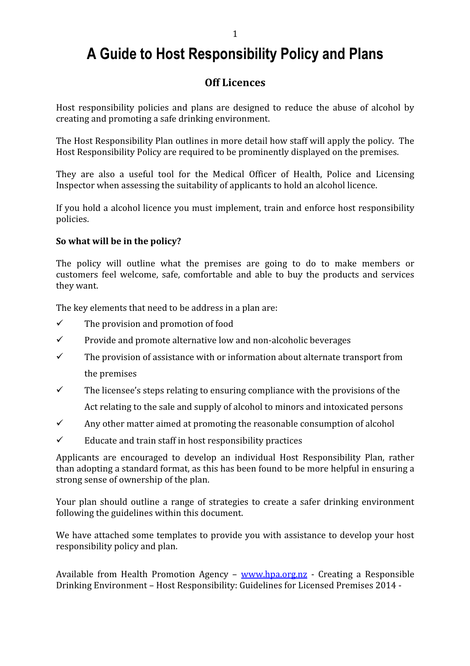# A Guide to Host Responsibility Policy and Plans

# Off Licences

Host responsibility policies and plans are designed to reduce the abuse of alcohol by creating and promoting a safe drinking environment.

The Host Responsibility Plan outlines in more detail how staff will apply the policy. The Host Responsibility Policy are required to be prominently displayed on the premises.

They are also a useful tool for the Medical Officer of Health, Police and Licensing Inspector when assessing the suitability of applicants to hold an alcohol licence.

If you hold a alcohol licence you must implement, train and enforce host responsibility policies.

# So what will be in the policy?

The policy will outline what the premises are going to do to make members or customers feel welcome, safe, comfortable and able to buy the products and services they want.

The key elements that need to be address in a plan are:

- $\checkmark$  The provision and promotion of food
- $\checkmark$  Provide and promote alternative low and non-alcoholic beverages
- $\checkmark$  The provision of assistance with or information about alternate transport from the premises
- $\checkmark$  The licensee's steps relating to ensuring compliance with the provisions of the Act relating to the sale and supply of alcohol to minors and intoxicated persons
- $\checkmark$  Any other matter aimed at promoting the reasonable consumption of alcohol
- $\checkmark$  Educate and train staff in host responsibility practices

Applicants are encouraged to develop an individual Host Responsibility Plan, rather than adopting a standard format, as this has been found to be more helpful in ensuring a strong sense of ownership of the plan.

Your plan should outline a range of strategies to create a safer drinking environment following the guidelines within this document.

We have attached some templates to provide you with assistance to develop your host responsibility policy and plan.

Available from Health Promotion Agency – www.hpa.org.nz - Creating a Responsible Drinking Environment – Host Responsibility: Guidelines for Licensed Premises 2014 -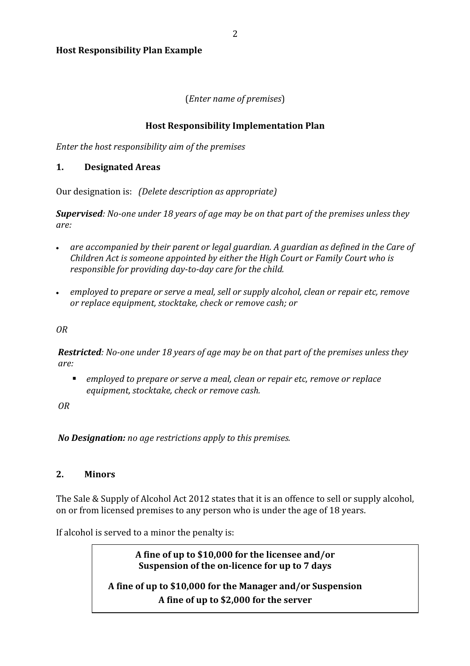Host Responsibility Plan Example

# (Enter name of premises)

# Host Responsibility Implementation Plan

Enter the host responsibility aim of the premises

## 1. Designated Areas

Our designation is: (Delete description as appropriate)

Supervised: No-one under 18 years of age may be on that part of the premises unless they are:

- are accompanied by their parent or legal guardian. A guardian as defined in the Care of Children Act is someone appointed by either the High Court or Family Court who is responsible for providing day-to-day care for the child.
- employed to prepare or serve a meal, sell or supply alcohol, clean or repair etc, remoye or replace equipment, stocktake, check or remove cash; or

OR

Restricted: No-one under 18 years of age may be on that part of the premises unless they are:

 employed to prepare or serve a meal, clean or repair etc, remove or replace equipment, stocktake, check or remove cash.

OR

No Designation: no age restrictions apply to this premises.

# 2. Minors

The Sale & Supply of Alcohol Act 2012 states that it is an offence to sell or supply alcohol, on or from licensed premises to any person who is under the age of 18 years.

If alcohol is served to a minor the penalty is:

A fine of up to \$10,000 for the licensee and/or Suspension of the on-licence for up to 7 days

A fine of up to \$10,000 for the Manager and/or Suspension A fine of up to \$2,000 for the server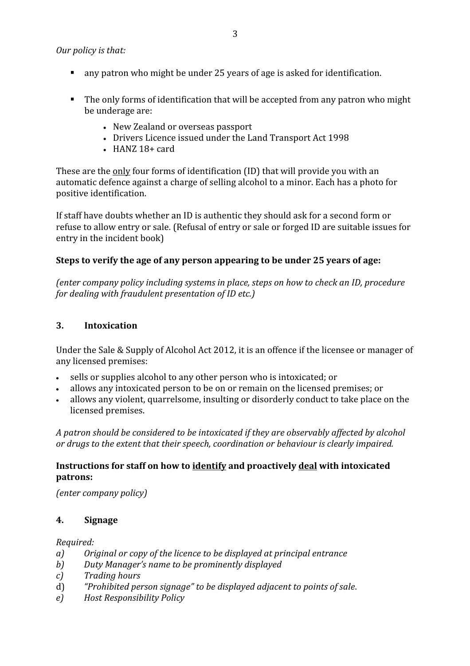## Our policy is that:

- any patron who might be under 25 years of age is asked for identification.
- The only forms of identification that will be accepted from any patron who might be underage are:
	- New Zealand or overseas passport
	- Drivers Licence issued under the Land Transport Act 1998
	- $\bullet$  HANZ 18+ card

These are the only four forms of identification (ID) that will provide you with an automatic defence against a charge of selling alcohol to a minor. Each has a photo for positive identification.

If staff have doubts whether an ID is authentic they should ask for a second form or refuse to allow entry or sale. (Refusal of entry or sale or forged ID are suitable issues for entry in the incident book)

## Steps to verify the age of any person appearing to be under 25 years of age:

(enter company policy including systems in place, steps on how to check an ID, procedure for dealing with fraudulent presentation of ID etc.)

### 3. Intoxication

Under the Sale & Supply of Alcohol Act 2012, it is an offence if the licensee or manager of any licensed premises:

- sells or supplies alcohol to any other person who is intoxicated; or
- allows any intoxicated person to be on or remain on the licensed premises; or
- allows any violent, quarrelsome, insulting or disorderly conduct to take place on the licensed premises.

A patron should be considered to be intoxicated if they are observably affected by alcohol or drugs to the extent that their speech, coordination or behaviour is clearly impaired.

## Instructions for staff on how to identify and proactively deal with intoxicated patrons:

(enter company policy)

### 4. Signage

#### Required:

- a) Original or copy of the licence to be displayed at principal entrance
- b) Duty Manager's name to be prominently displayed
- c) Trading hours
- d) "Prohibited person signage" to be displayed adjacent to points of sale.
- e) Host Responsibility Policy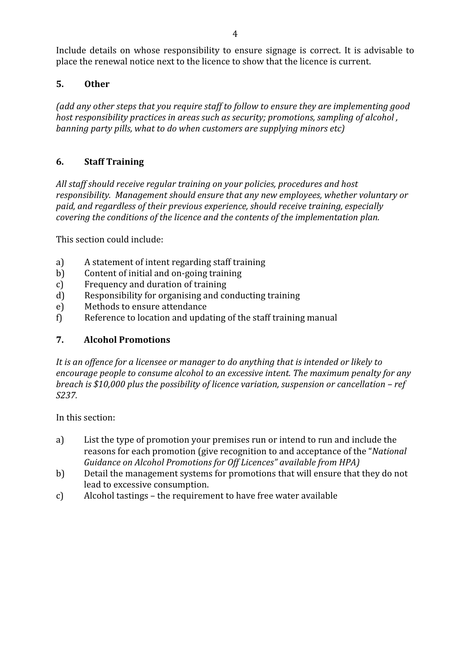Include details on whose responsibility to ensure signage is correct. It is advisable to place the renewal notice next to the licence to show that the licence is current.

# 5. Other

(add any other steps that you require staff to follow to ensure they are implementing good host responsibility practices in areas such as security; promotions, sampling of alcohol , banning party pills, what to do when customers are supplying minors etc)

# 6. Staff Training

All staff should receive regular training on your policies, procedures and host responsibility. Management should ensure that any new employees, whether voluntary or paid, and regardless of their previous experience, should receive training, especially covering the conditions of the licence and the contents of the implementation plan.

This section could include:

- a) A statement of intent regarding staff training
- b) Content of initial and on-going training
- c) Frequency and duration of training
- d) Responsibility for organising and conducting training
- e) Methods to ensure attendance
- f) Reference to location and updating of the staff training manual

### 7. Alcohol Promotions

It is an offence for a licensee or manager to do anything that is intended or likely to encourage people to consume alcohol to an excessive intent. The maximum penalty for any breach is \$10,000 plus the possibility of licence variation, suspension or cancellation – ref S237.

In this section:

- a) List the type of promotion your premises run or intend to run and include the reasons for each promotion (give recognition to and acceptance of the "National Guidance on Alcohol Promotions for Off Licences" available from HPA)
- b) Detail the management systems for promotions that will ensure that they do not lead to excessive consumption.
- c) Alcohol tastings the requirement to have free water available